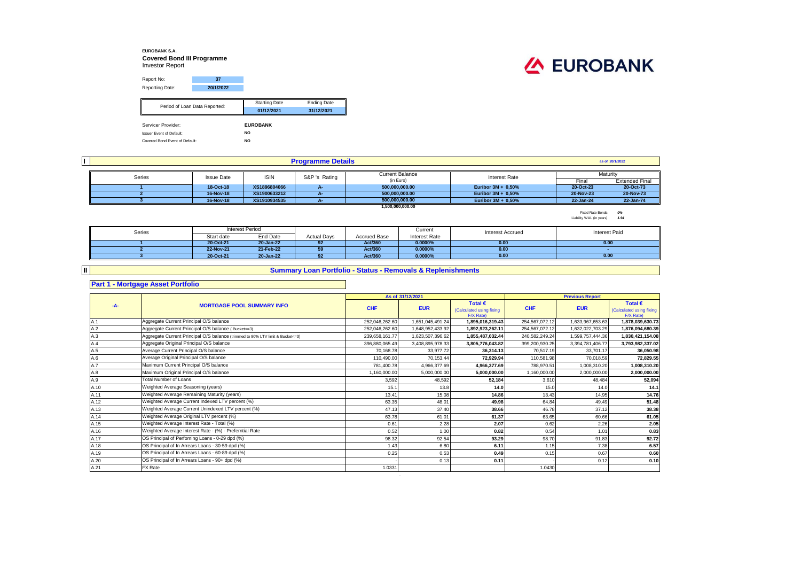### **EUROBANK S.A. Covered Bond III Programme** Investor Report



| Report No:                      | 37        |                      |                    |  |  |  |
|---------------------------------|-----------|----------------------|--------------------|--|--|--|
| Reporting Date:                 | 20/1/2022 |                      |                    |  |  |  |
|                                 |           |                      |                    |  |  |  |
| Period of Loan Data Reported:   |           | <b>Starting Date</b> | <b>Ending Date</b> |  |  |  |
|                                 |           | 01/12/2021           | 31/12/2021         |  |  |  |
|                                 |           |                      |                    |  |  |  |
| Servicer Provider:              |           | <b>EUROBANK</b>      |                    |  |  |  |
| <b>Issuer Event of Default:</b> |           |                      |                    |  |  |  |
| Covered Bond Event of Default:  |           | <b>NO</b>            |                    |  |  |  |

| <b>Programme Details</b> |                   |              |               |                        |                       |           | as of 20/1/2022       |
|--------------------------|-------------------|--------------|---------------|------------------------|-----------------------|-----------|-----------------------|
|                          |                   |              |               |                        |                       |           |                       |
| Series                   | <b>Issue Date</b> | <b>ISIN</b>  | S&P 's Rating | <b>Current Balance</b> | Interest Rate         |           | Maturity              |
|                          |                   |              |               | (in Euro)              |                       | Final     | <b>Extended Final</b> |
|                          | 18-Oct-18         | XS1896804066 |               | 500,000,000.00         | Euribor $3M + 0.50\%$ | 20-Oct-23 | 20-Oct-73             |
|                          | 16-Nov-18         | XS1900633212 |               | 500.000.000.00         | Euribor $3M + 0.50\%$ | 20-Nov-23 | 20-Nov-73             |
|                          | 16-Nov-18         | XS1910934535 |               | 500.000.000.00         | Euribor $3M + 0.50\%$ | 22-Jan-24 | 22-Jan-74             |
|                          |                   |              |               | 1,500,000,000,00       |                       |           |                       |

Fixed Rate Bonds *0%* Liability WAL (in years) *1.94*

| Series |            | <b>Interest Period</b> |                    |                     | Current       | <b>Interest Accrued</b> | <b>Interest Paid</b> |
|--------|------------|------------------------|--------------------|---------------------|---------------|-------------------------|----------------------|
|        | Start date | End Date               | <b>Actual Days</b> | <b>Accrued Base</b> | Interest Rate |                         |                      |
|        | 20-Oct-21  | 20-Jan-22              | 92                 | Act/360             | $0.0000\%$    | 0.00                    | 0.00                 |
|        | 22-Nov-21  | 21-Feb-22              | 59                 | Act/360             | 0.0000%       | 0.00                    |                      |
|        | 20-Oct-21  | 20-Jan-22              | 92                 | Act/360             | 0.0000%       | 0.00                    | 0.00                 |

## **Summary Loan Portfolio - Status - Removals & Replenishments**

### **Part 1 - Mortgage Asset Portfolio**

**II**

#### **As of** Total € **Total EXECUS Fotal EXECUS Fotal EXECUS Fotal EXECUS Fotal EXECUS** (Calculated using fixing **EUR CHF EUR**  $F/X$  Rate)<br>1.895.016.319.43 Calculated using fixing  $F/X$  Rate)<br>1.878.039.630.73 A.1 252,046,262.60 1,651,045,491.24 **1,895,016,319.43** 254,567,072.12 1,633,967,653.63 **1,878,039,630.73** Aggregate Current Principal O/S balance A.2 252,046,262.60 1,648,952,433.92 **1,892,923,262.11** 254,567,072.12 1,632,022,703.29 **1,876,094,680.39** Aggregate Current Principal O/S balance ( Bucket<=3) A.3 **239,658,487,032.44** 240,582,249.24 1,599,757,444.36 1,830,421,154.08 **1,830,421,154.08** 1,830,421,159, 1,830,421,154.08 1,830,421,154.08 A.4 396,880,065.49 3,408,895,978.33 **3,805,776,043.82** 399,200,930.25 3,394,781,406.77 **3,793,982,337.02** Aggregate Original Principal O/S balance A.5 70,168.78 33,977.72 **36,314.13** 70,517.19 33,701.17 **36,050.98** A.6 110,490.00 70,153.44 **72,929.94** 110,581.98 70,018.59 **72,829.55** Average Original Principal O/S balance A.7 781,400.78 4,966,377.69 **4,966,377.69** 788,970.51 1,008,310.20 **1,008,310.20** Maximum Current Principal O/S balance A.8 1,160,000.00 5,000,000.00 **5,000,000.00** 1,160,000.00 2,000,000.00 **2,000,000.00** Maximum Original Principal O/S balance A.9 3,592 48,592 **52,184** 3,610 48,484 **52,094** A.10 15.1 13.8 **14.0** 15.0 14.0 **14.1** Weighted Average Seasoning (years) A.11 13.41 15.08 **14.86** 13.43 14.95 **14.76** Weighted Average Remaining Maturity (years) A.12 63.35 48.01 **49.98** 64.84 49.49 **51.48** Weighted Average Current Indexed LTV percent (%) A.13 47.13 37.40 **38.66** 46.78 37.12 **38.38** Weighted Average Current Unindexed LTV percent (%) A.14 63.78 61.01 **61.37** 63.65 60.66 **61.05** Weighted Average Original LTV percent (%) A.15 0.61 2.28 **2.07** 0.62 2.26 **2.05** Weighted Average Interest Rate - Total (%) A.16 0.52 1.00 **0.82** 0.54 1.01 **0.83** Weighted Average Interest Rate - (%) - Preferntial Rate A.17 98.32 92.54 **93.29** 98.70 91.83 **92.72** OS Principal of Perfoming Loans - 0-29 dpd (%) A.18 1.43 6.80 **6.11** 1.15 7.38 **6.57** OS Principal of In Arrears Loans - 30-59 dpd (%) A.19 0.25 0.53 **0.49** 0.15 0.67 **0.60** OS Principal of In Arrears Loans - 60-89 dpd (%) A.20 - 0.13 **0.11** - 0.12 **0.10** OS Principal of In Arrears Loans - 90+ dpd (%) A.21 PX Rate that the set of the set of the set of the set of the set of the set of the set of the set of the s FX Rate **Average Current Principal O/S balance** Total Number of Loans **-A- MORTGAGE POOL SUMMARY INFO Previous Report CHF**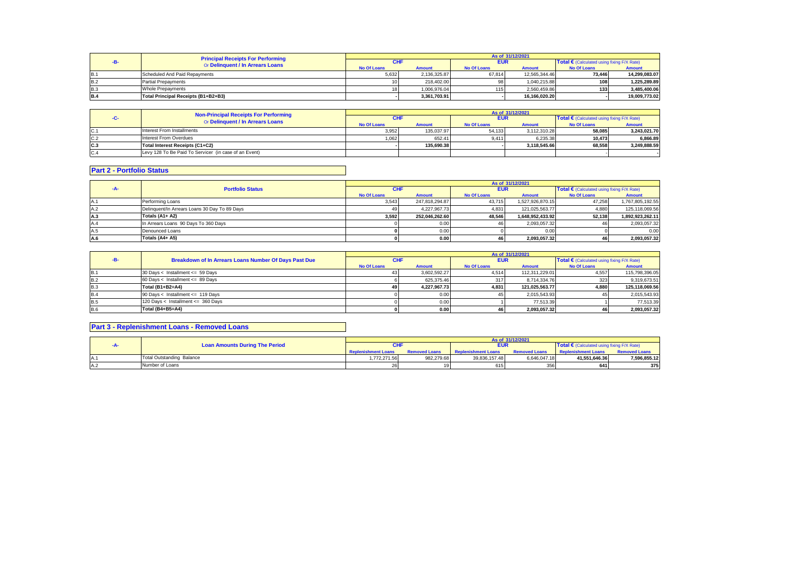|            | <b>Principal Receipts For Performing</b><br>Or Delinquent / In Arrears Loans | As of 31/12/2021   |               |                    |               |                                            |               |  |
|------------|------------------------------------------------------------------------------|--------------------|---------------|--------------------|---------------|--------------------------------------------|---------------|--|
|            |                                                                              | CHI                |               | <b>EUR</b>         |               | Total € (Calculated using fixing F/X Rate) |               |  |
|            |                                                                              | <b>No Of Loans</b> | <b>Amount</b> | <b>No Of Loans</b> | <b>Amount</b> | <b>No Of Loans</b>                         | <b>Amount</b> |  |
| <b>B.1</b> | Scheduled And Paid Repayments                                                | 5,632              | 2.136.325.87  | 67.814             | 12.565.344.46 | 73.446                                     | 14.299.083.07 |  |
| <b>B.2</b> | <b>Partial Prepayments</b>                                                   |                    | 218.402.00    |                    | 1.040.215.88  | 108                                        | 1.225.289.89  |  |
| <b>B.3</b> | <b>Whole Prepayments</b>                                                     |                    | 1.006.976.04  | 1151               | 2.560.459.86  | 133                                        | 3.485.400.06  |  |
| <b>B.4</b> | Total Principal Receipts (B1+B2+B3)                                          |                    | 3.361.703.91  |                    | 16.166.020.20 |                                            | 19.009.773.02 |  |

|     | Non-Principal Receipts For Performing                 | As of 31/12/2021   |               |                    |               |                                            |               |  |
|-----|-------------------------------------------------------|--------------------|---------------|--------------------|---------------|--------------------------------------------|---------------|--|
|     | Or Delinquent / In Arrears Loans                      | <b>CHI</b>         |               | <b>EUR</b>         |               | Total € (Calculated using fixing F/X Rate) |               |  |
|     |                                                       | <b>No Of Loans</b> | <b>Amount</b> | <b>No Of Loans</b> | <b>Amount</b> | <b>No Of Loans</b>                         | <b>Amount</b> |  |
| C.1 | Interest From Installments                            | 3.952              | 135.037.97    | 54.133             | 3.112.310.28  | 58.085                                     | 3.243.021.70  |  |
| C.2 | Interest From Overdues                                | 1.062              | 652.41        | 9.411              | 6.235.38      | 10.473                                     | 6.866.89      |  |
| C.3 | Total Interest Receipts (C1+C2)                       |                    | 135.690.38    |                    | 3.118.545.66  | 68.558                                     | 3.249.888.59  |  |
| C.4 | Levy 128 To Be Paid To Servicer (in case of an Event) |                    |               |                    |               |                                            |               |  |

# **Part 2 - Portfolio Status**

|      | <b>Portfolio Status</b>                       | As of 31/12/2021   |                |                    |                  |                    |                                                     |  |
|------|-----------------------------------------------|--------------------|----------------|--------------------|------------------|--------------------|-----------------------------------------------------|--|
| -A-  |                                               | <b>CHF</b>         |                |                    | <b>EUR</b>       |                    | Total $\epsilon$ (Calculated using fixing F/X Rate) |  |
|      |                                               | <b>No Of Loans</b> | <b>Amount</b>  | <b>No Of Loans</b> | <b>Amount</b>    | <b>No Of Loans</b> | Amount                                              |  |
| IA.1 | Performing Loans                              | 3,543              | 247,818,294.87 | 43,715             | 1,527,926,870.15 | 47.258             | 1,767,805,192.55                                    |  |
| A.2  | Delinquent/In Arrears Loans 30 Day To 89 Days | 49.                | 4.227.967.73   | 4.831              | 121.025.563.77   | 4.880              | 125.118.069.56                                      |  |
| A.3  | Totals (A1+ A2)                               | 3.592              | 252.046.262.60 | 48.546             | 1.648.952.433.92 | 52.138             | 1.892.923.262.11                                    |  |
| A.4  | In Arrears Loans 90 Days To 360 Days          |                    | 0.00           | 46                 | 2.093.057.32     |                    | 2,093,057.32                                        |  |
| A.5  | Denounced Loans                               |                    | 0.00           |                    | 0.00             |                    | 0.00                                                |  |
| A.6  | Totals (A4+ A5)                               |                    | 0.00           | 46                 | 2.093.057.32     |                    | 2,093,057.32                                        |  |

|            |                                                       | As of 31/12/2021   |               |                    |                |                                                     |                |  |
|------------|-------------------------------------------------------|--------------------|---------------|--------------------|----------------|-----------------------------------------------------|----------------|--|
|            | Breakdown of In Arrears Loans Number Of Days Past Due | <b>CHF</b>         |               | <b>EUR</b>         |                | Total $\epsilon$ (Calculated using fixing F/X Rate) |                |  |
|            |                                                       | <b>No Of Loans</b> | <b>Amount</b> | <b>No Of Loans</b> | <b>Amount</b>  | <b>No Of Loans</b>                                  | <b>Amount</b>  |  |
| <b>B.1</b> | 30 Days < Installment <= 59 Days                      | 431                | 3.602.592.27  | 4.514              | 112.311.229.01 | 4.557                                               | 115,798,396.05 |  |
| B.2        | 60 Days < Installment <= 89 Days                      |                    | 625.375.46    | 317                | 8.714.334.76   | 323                                                 | 9,319,673.51   |  |
| <b>B.3</b> | Total (B1+B2=A4)                                      | 49 I               | 4.227.967.73  | 4.831              | 121.025.563.77 | 4.880                                               | 125.118.069.56 |  |
| <b>B.4</b> | 90 Days < Installment <= 119 Days                     |                    | 0.00          |                    | 2.015.543.93   |                                                     | 2,015,543.93   |  |
| <b>B.5</b> | 120 Days < Installment <= 360 Days                    |                    | 0.00          |                    | 77.513.39      |                                                     | 77.513.39      |  |
| <b>B.6</b> | Total (B4+B5=A4)                                      |                    | 0.00          |                    | 2.093.057.32   |                                                     | 2,093,057.32   |  |

# **Part 3 - Replenishment Loans - Removed Loans**

|      |  |                                       | As of 31/12/2021           |                      |                            |                      |                                            |                      |  |
|------|--|---------------------------------------|----------------------------|----------------------|----------------------------|----------------------|--------------------------------------------|----------------------|--|
|      |  | <b>Loan Amounts During The Period</b> |                            |                      | <b>EUR</b>                 |                      | Total € (Calculated using fixing F/X Rate) |                      |  |
|      |  |                                       | <b>Replenishment Loans</b> | <b>Removed Loans</b> | <b>Replenishment Loans</b> | <b>Removed Loans</b> | <b>Replenishment Loans</b>                 | <b>Removed Loans</b> |  |
|      |  | <b>Total Outstanding Balance</b>      | 1,772,271.56               | 982.279.68           | 39.836.157.48              | 6.646.047.18         | 41.551.646.36                              | 7,596,855.12         |  |
| .A.: |  | Number of Loans                       |                            |                      | 615                        | 356                  | 641                                        | 375                  |  |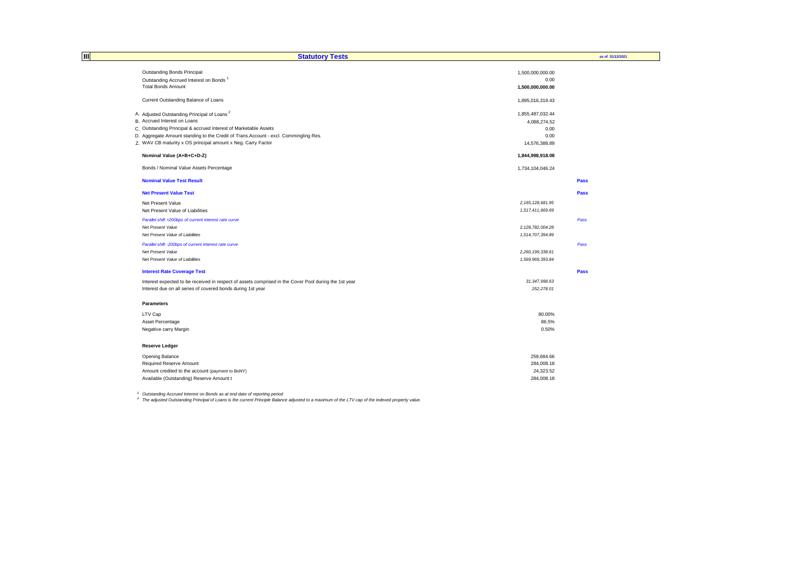| Ш | <b>Statutory Tests</b>                                                                                |                     | as of 31/12/2021 |  |
|---|-------------------------------------------------------------------------------------------------------|---------------------|------------------|--|
|   | <b>Outstanding Bonds Principal</b>                                                                    | 1,500,000,000.00    |                  |  |
|   | Outstanding Accrued Interest on Bonds <sup>1</sup>                                                    | 0.00                |                  |  |
|   | <b>Total Bonds Amount</b>                                                                             | 1,500,000,000.00    |                  |  |
|   | Current Outstanding Balance of Loans                                                                  | 1,895,016,319.43    |                  |  |
|   | A. Adjusted Outstanding Principal of Loans <sup>2</sup>                                               | 1,855,487,032.44    |                  |  |
|   | B. Accrued Interest on Loans                                                                          | 4,088,274.52        |                  |  |
|   | C. Outstanding Principal & accrued Interest of Marketable Assets                                      | 0.00                |                  |  |
|   | D. Aggregate Amount standing to the Credit of Trans. Account - excl. Commingling Res.                 | 0.00                |                  |  |
|   | Z. WAV CB maturity x OS principal amount x Neg. Carry Factor                                          | 14,576,388.89       |                  |  |
|   | Nominal Value (A+B+C+D-Z)                                                                             | 1,844,998,918.08    |                  |  |
|   | Bonds / Nominal Value Assets Percentage                                                               | 1,734,104,046.24    |                  |  |
|   | <b>Nominal Value Test Result</b>                                                                      |                     | Pass             |  |
|   | <b>Net Present Value Test</b>                                                                         |                     | Pass             |  |
|   | Net Present Value                                                                                     | 2, 165, 128, 681.95 |                  |  |
|   | Net Present Value of Liabilities                                                                      | 1,517,411,669.69    |                  |  |
|   | Parallel shift +200bps of current interest rate curve                                                 |                     | Pass             |  |
|   | Net Present Value                                                                                     | 2, 128, 782, 004.28 |                  |  |
|   | Net Present Value of Liabilities                                                                      | 1,514,707,394.89    |                  |  |
|   | Parallel shift -200bps of current interest rate curve                                                 |                     | Pass             |  |
|   | Net Present Value                                                                                     | 2,260,199,338.61    |                  |  |
|   | Net Present Value of Liabilities                                                                      | 1,569,969,393.84    |                  |  |
|   | <b>Interest Rate Coverage Test</b>                                                                    |                     | Pass             |  |
|   | Interest expected to be received in respect of assets comprised in the Cover Pool during the 1st year | 31, 347, 998.63     |                  |  |
|   | Interest due on all series of covered bonds during 1st year                                           | 252,278.01          |                  |  |
|   | <b>Parameters</b>                                                                                     |                     |                  |  |
|   | LTV Cap                                                                                               | 80.00%              |                  |  |
|   | Asset Percentage                                                                                      | 86.5%               |                  |  |
|   | Negative carry Margin                                                                                 | 0.50%               |                  |  |
|   | <b>Reserve Ledger</b>                                                                                 |                     |                  |  |
|   | Opening Balance                                                                                       | 259,684.66          |                  |  |
|   | Required Reserve Amount                                                                               | 284,008.18          |                  |  |
|   | Amount credited to the account (payment to BoNY)                                                      | 24,323.52           |                  |  |
|   | Available (Outstanding) Reserve Amount t                                                              | 284.008.18          |                  |  |

<sup>1</sup> Outstanding Accrued Interest on Bonds as at end date of reporting period<br><sup>2</sup> The adjusted Outstanding Principal of Loans is the current Principle Balance adjusted to a maximum of the LTV cap of the indexed property val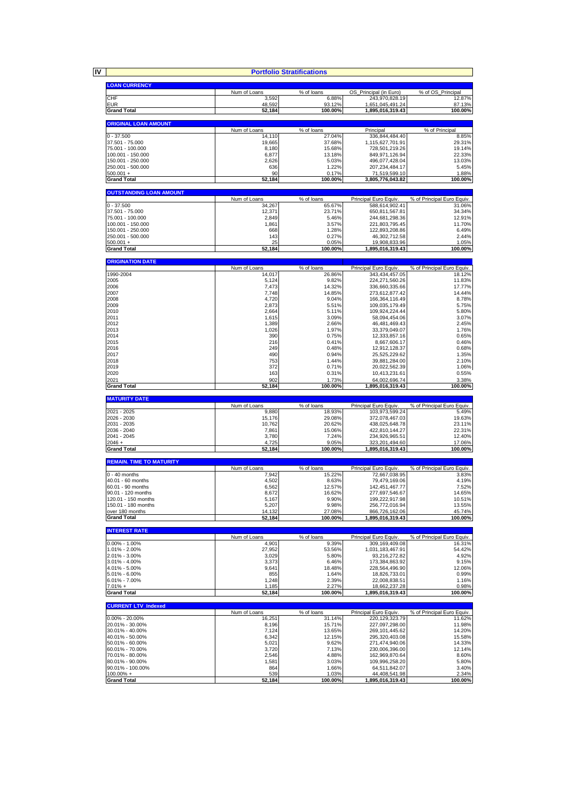**IV**

|                                            |                  | <b>Portfolio Stratifications</b> |                                      |                            |
|--------------------------------------------|------------------|----------------------------------|--------------------------------------|----------------------------|
| <b>LOAN CURRENCY</b>                       |                  |                                  |                                      |                            |
|                                            | Num of Loans     | % of loans                       | OS_Principal (in Euro)               | % of OS_Principal          |
| CHF                                        | 3,592            | 6.88%                            | 243,970,828.19                       | 12.87%                     |
| <b>EUR</b><br><b>Grand Total</b>           | 48,592<br>52,184 | 93.12%<br>100.00%                | 1,651,045,491.24<br>1,895,016,319.43 | 87.13%<br>100.00%          |
|                                            |                  |                                  |                                      |                            |
| <b>ORIGINAL LOAN AMOUNT</b>                | Num of Loans     | % of loans                       | Principal                            | % of Principal             |
| $0 - 37.500$                               | 14,110           | 27.04%                           | 336,844,484.40                       | 8.85%                      |
| 37.501 - 75.000                            | 19,665           | 37.68%                           | 1,115,627,701.91                     | 29.31%                     |
| 75.001 - 100.000<br>100.001 - 150.000      | 8,180<br>6,877   | 15.68%<br>13.18%                 | 728,501,219.26<br>849,971,126.94     | 19.14%<br>22.33%           |
| 150.001 - 250.000                          | 2,626            | 5.03%                            | 496,077,428.04                       | 13.03%                     |
| 250.001 - 500.000                          | 636<br>90        | 1.22%<br>0.17%                   | 207,234,484.17<br>71,519,599.10      | 5.45%<br>1.88%             |
| $500.001 +$<br><b>Grand Total</b>          | 52,184           | 100.00%                          | 3,805,776,043.82                     | 100.00%                    |
|                                            |                  |                                  |                                      |                            |
| <b>OUTSTANDING LOAN AMOUNT</b>             | Num of Loans     | % of loans                       | Principal Euro Equiv.                | % of Principal Euro Equiv. |
| $0 - 37,500$                               | 34,267           | 65.67%                           | 588,614,902.41                       | 31.06%                     |
| 37.501 - 75.000<br>75.001 - 100.000        | 12,371<br>2,849  | 23.71%<br>5.46%                  | 650,811,567.81<br>244,681,298.36     | 34.34%<br>12.91%           |
| 100.001 - 150.000                          | 1,861            | 3.57%                            | 221,803,795.45                       | 11.70%                     |
| 150.001 - 250.000                          | 668              | 1.28%                            | 122,893,208.86                       | 6.49%                      |
| 250.001 - 500.000<br>$500.001 +$           | 143<br>25        | 0.27%<br>0.05%                   | 46,302,712.58<br>19,908,833.96       | 2.44%<br>1.05%             |
| <b>Grand Total</b>                         | 52,184           | 100.00%                          | 1,895,016,319.43                     | 100.00%                    |
|                                            |                  |                                  |                                      |                            |
| <b>ORIGINATION DATE</b>                    | Num of Loans     | $\overline{\%}$ of loans         | Principal Euro Equiv.                | % of Principal Euro Equiv. |
| 1990-2004                                  | 14,017           | 26.86%                           | 343,434,457.05                       | 18.12%                     |
| 2005<br>2006                               | 5,124<br>7,473   | 9.82%<br>14.32%                  | 224,271,560.26<br>336,660,335.66     | 11.83%<br>17.77%           |
| 2007                                       | 7,748            | 14.85%                           | 273,612,877.42                       | 14.44%                     |
| 2008                                       | 4,720            | 9.04%                            | 166.364.116.49                       | 8.78%                      |
| 2009<br>2010                               | 2,873<br>2,664   | 5.51%<br>5.11%                   | 109,035,179.49<br>109,924,224.44     | 5.75%<br>5.80%             |
| 2011                                       | 1,615            | 3.09%                            | 58,094,454.06                        | 3.07%                      |
| 2012<br>2013                               | 1,389<br>1,026   | 2.66%<br>1.97%                   | 46.481.469.43<br>33,379,049.07       | 2.45%<br>1.76%             |
| 2014                                       | 390              | 0.75%                            | 12,333,857.16                        | 0.65%                      |
| 2015                                       | 216              | 0.41%                            | 8,667,606.17                         | 0.46%                      |
| 2016<br>2017                               | 249<br>490       | 0.48%<br>0.94%                   | 12,912,128.37<br>25,525,229.62       | 0.68%<br>1.35%             |
| 2018                                       | 753              | 1.44%                            | 39,881,284.00                        | 2.10%                      |
| 2019<br>2020                               | 372<br>163       | 0.71%<br>0.31%                   | 20,022,562.39<br>10,413,231.61       | 1.06%<br>0.55%             |
| 2021                                       | 902              | 1.73%                            | 64,002,696.74                        | 3.38%                      |
| <b>Grand Total</b>                         | 52,184           | 100.00%                          | 1,895,016,319.43                     | 100.00%                    |
| <b>MATURITY DATE</b>                       |                  |                                  |                                      |                            |
|                                            |                  |                                  |                                      |                            |
|                                            | Num of Loans     | % of loans                       | Principal Euro Equiv.                | % of Principal Euro Equiv. |
| 2021 - 2025<br>2026 - 2030                 | 9,880            | 18.93%                           | 103,973,599.24                       | 5.49%                      |
| 2031 - 2035                                | 15,176<br>10,762 | 29.08%<br>20.62%                 | 372,078,467.03<br>438,025,648.78     | 19.63%<br>23.11%           |
| 2036 - 2040                                | 7,861            | 15.06%                           | 422,810,144.27                       | 22.31%                     |
| 2041 - 2045<br>$2046 +$                    | 3,780<br>4,725   | 7.24%<br>9.05%                   | 234,926,965.51<br>323,201,494.60     | 12.40%<br>17.06%           |
| <b>Grand Total</b>                         | 52,184           | 100.00%                          | 1.895.016.319.43                     | 100.00%                    |
|                                            |                  |                                  |                                      |                            |
| <b>REMAIN. TIME TO MATURITY</b>            | Num of Loans     | % of loans                       | Principal Euro Equiv.                | % of Principal Euro Equiv. |
| $0 - 40$ months                            | 7,942            | 15.22%                           | 72,667,038.95                        | 3.83%                      |
| 40.01 - 60 months<br>60.01 - 90 months     | 4,502<br>6,562   | 8.63%<br>12.57%                  | 79,479,169.06<br>142,451,467.77      | 4.19%<br>7.52%             |
| 90.01 - 120 months                         | 8,672            | 16.62%                           | 277,697,546.67                       | 14.65%                     |
| 120.01 - 150 months<br>150.01 - 180 months | 5,167            | 9.90%<br>9.98%                   | 199,222,917.98<br>256,772,016.94     | 10.51%<br>13.55%           |
| over 180 months                            | 5,207<br>14,132  | 27.08%                           | 866,726,162.06                       | 45.74%                     |
| <b>Grand Total</b>                         | 52,184           | 100.00%                          | 1,895,016,319.43                     |                            |
| <b>INTEREST RATE</b>                       |                  |                                  |                                      | 100.00%                    |
|                                            | Num of Loans     | % of loans                       | Principal Euro Equiv.                | % of Principal Euro Equiv. |
| $0.00\% - 1.00\%$<br>1.01% - 2.00%         | 4,901<br>27,952  | 9.39%<br>53.56%                  | 309,169,409.08<br>1,031,183,467.91   | 16.31%<br>54.42%           |
| 2.01% - 3.00%                              | 3,029            | 5.80%                            | 93,216,272.82                        | 4.92%                      |
| 3.01% - 4.00%<br>4.01% - 5.00%             | 3,373<br>9,641   | 6.46%<br>18.48%                  | 173,384,863.92                       | 9.15%                      |
| 5.01% - 6.00%                              | 855              | 1.64%                            | 228,564,496.90<br>18,826,733.01      | 12.06%<br>0.99%            |
| $6.01\% - 7.00\%$                          | 1,248            | 2.39%                            | 22,008,838.51                        | 1.16%                      |
| $7.01% +$<br><b>Grand Total</b>            | 1,185<br>52,184  | 2.27%<br>100.00%                 | 18,662,237.28<br>1,895,016,319.43    | 0.98%<br>100.00%           |
|                                            |                  |                                  |                                      |                            |
| <b>CURRENT LTV_Indexed</b>                 | Num of Loans     | % of loans                       | Principal Euro Equiv                 | % of Principal Euro Equiv. |
| $0.00\% - 20.00\%$                         | 16,251           | 31.14%                           | 220, 129, 323. 79                    | 11.62%                     |
| 20.01% - 30.00%<br>30.01% - 40.00%         | 8,196<br>7,124   | 15.71%<br>13.65%                 | 227,097,298.00<br>269, 101, 445.62   | 11.98%<br>14.20%           |
| 40.01% - 50.00%                            | 6,342            | 12.15%                           | 295,320,403.08                       | 15.58%                     |
| 50.01% - 60.00%                            | 5,021            | 9.62%                            | 271,474,940.06                       | 14.33%                     |
| 60.01% - 70.00%<br>70.01% - 80.00%         | 3,720<br>2,546   | 7.13%<br>4.88%                   | 230,006,396.00<br>162,969,870.64     | 12.14%<br>8.60%            |
| 80.01% - 90.00%                            | 1,581            | 3.03%                            | 109,996,258.20                       | 5.80%                      |
| 90.01% - 100.00%<br>100.00% +              | 864<br>539       | 1.66%<br>1.03%                   | 64,511,842.07<br>44,408,541.98       | 3.40%<br>2.34%             |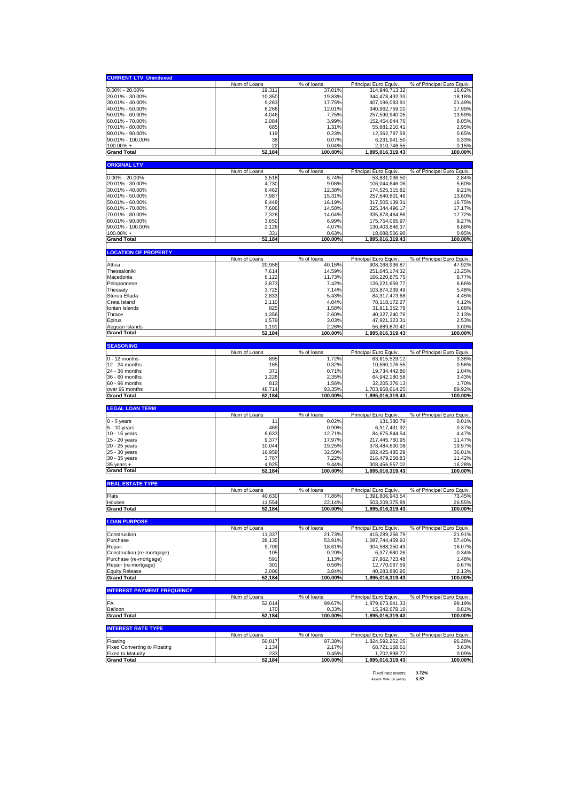| <b>CURRENT LTV_Unindexed</b>                                    |                        |                      |                                           |                                      |
|-----------------------------------------------------------------|------------------------|----------------------|-------------------------------------------|--------------------------------------|
|                                                                 | Num of Loans           | % of loans           | Principal Euro Equiv                      | % of Principal Euro Equiv.           |
| $0.00\% - 20.00\%$                                              | 19,311                 | 37.01%               | 314,946,713.32                            | 16.62%                               |
| 20.01% - 30.00%<br>30.01% - 40.00%                              | 10,350<br>9,263        | 19.83%<br>17.75%     | 344,478,492.33<br>407,196,083.91          | 18.18%<br>21.49%                     |
| 40.01% - 50.00%                                                 | 6,266                  | 12.01%               | 340,962,759.01                            | 17.99%                               |
| 50.01% - 60.00%                                                 | 4,046                  | 7.75%                | 257,590,940.05                            | 13.59%                               |
| 60.01% - 70.00%                                                 | 2,084                  | 3.99%                | 152,454,644.76                            | 8.05%                                |
| 70.01% - 80.00%<br>80.01% - 90.00%                              | 685<br>11 <sup>c</sup> | 1.31%<br>0.23%       | 55,881,210.41<br>12,362,787.59            | 2.95%<br>0.65%                       |
| 90.01% - 100.00%                                                | 38                     | 0.07%                | 6,231,941.50                              | 0.33%                                |
| $100.00\% +$                                                    | 22                     | 0.04%                | 2,910,746.55                              | 0.15%                                |
| <b>Grand Total</b>                                              | 52,184                 | 100.00%              | 1,895,016,319.43                          | 100.00%                              |
| <b>ORIGINAL LTV</b>                                             |                        |                      |                                           |                                      |
|                                                                 | Num of Loans           | % of loans           | Principal Euro Equiv.                     | % of Principal Euro Equiv.           |
| 0.00% - 20.00%                                                  | 3,518                  | 6.74%                | 53,831,036.50                             | 2.84%                                |
| 20.01% - 30.00%<br>30.01% - 40.00%                              | 4,730<br>6,462         | 9.06%<br>12.38%      | 106,044,646.06<br>174,525,315.82          | 5.60%<br>9.21%                       |
| 40.01% - 50.00%                                                 | 7,987                  | 15.31%               | 257,640,801.46                            | 13.60%                               |
| 50.01% - 60.00%                                                 | 8,448                  | 16.19%               | 317,505,139.31                            | 16.75%                               |
| 60.01% - 70.00%                                                 | 7,606                  | 14.58%               | 325, 344, 496. 17                         | 17.17%                               |
| 70.01% - 80.00%                                                 | 7,326                  | 14.04%               | 335,878,464.86                            | 17.72%                               |
| 80.01% - 90.00%<br>90.01% - 100.00%                             | 3,650<br>2,126         | 6.99%<br>4.07%       | 175,754,065.97<br>130,403,846.37          | 9.27%<br>6.88%                       |
| $100.00\%$ +                                                    | 331                    | 0.63%                | 18,088,506.90                             | 0.95%                                |
| <b>Grand Total</b>                                              | 52,184                 | 100.00%              | 1,895,016,319.43                          | 100.00%                              |
|                                                                 |                        |                      |                                           |                                      |
| <b>LOCATION OF PROPERTY</b>                                     | Num of Loans           | % of loans           | Principal Euro Equiv                      | % of Principal Euro Equiv.           |
| Attica                                                          | 20,956                 | 40.16%               | 908, 168, 936.87                          | 47.92%                               |
| Thessaloniki                                                    | 7,614                  | 14.59%               | 251,045,174.32                            | 13.25%                               |
| Macedonia                                                       | 6,122                  | 11.73%               | 166,220,875.75                            | 8.77%                                |
| Peloponnese<br>Thessaly                                         | 3,873<br>3,725         | 7.42%<br>7.14%       | 126,221,659.77<br>103,874,239.49          | 6.66%<br>5.48%                       |
| Sterea Ellada                                                   | 2,833                  | 5.43%                | 84,317,473.68                             | 4.45%                                |
| Creta Island                                                    | 2,110                  | 4.04%                | 78,118,172.27                             | 4.12%                                |
| Ionian Islands                                                  | 825                    | 1.58%                | 31,911,352.78                             | 1.68%                                |
| Thrace                                                          | 1,356                  | 2.60%                | 40,327,240.76                             | 2.13%                                |
| Epirus                                                          | 1,579                  | 3.03%                | 47,921,323.31                             | 2.53%                                |
| Aegean Islands<br><b>Grand Total</b>                            | 1,191<br>52,184        | 2.28%<br>100.00%     | 56,889,870.42<br>1,895,016,319.43         | 3.00%<br>100.00%                     |
|                                                                 |                        |                      |                                           |                                      |
| <b>SEASONING</b>                                                |                        |                      |                                           |                                      |
| $0 - 12$ months                                                 | Num of Loans<br>895    | % of loans<br>1.72%  | Principal Euro Equiv<br>63,615,529.12     | % of Principal Euro Equiv.<br>3.36%  |
| 12 - 24 months                                                  | 165                    | 0.32%                | 10,560,176.55                             | 0.56%                                |
| 24 - 36 months                                                  | 371                    |                      |                                           |                                      |
|                                                                 |                        | 0.71%                | 19,734,442.80                             | 1.04%                                |
| 36 - 60 months                                                  | 1,226                  | 2.35%                | 64,942,180.58                             | 3.43%                                |
| 60 - 96 months                                                  | 813                    | 1.56%                | 32,205,376.13                             | 1.70%                                |
| over 96 months                                                  | 48,714                 | 93.35%               | 1,703,958,614.25                          | 89.92%                               |
| <b>Grand Total</b>                                              | 52,184                 | 100.00%              | 1,895,016,319.43                          | 100.00%                              |
| <b>LEGAL LOAN TERM</b>                                          |                        |                      |                                           |                                      |
| $0 - 5$ years                                                   | Num of Loans<br>11     | % of loans<br>0.02%  | Principal Euro Equiv<br>131,380.79        | % of Principal Euro Equiv.<br>0.01%  |
| 5 - 10 years                                                    | 469                    | 0.90%                | 6,917,431.92                              | 0.37%                                |
| 10 - 15 years                                                   | 6,633                  | 12.71%               | 84,675,844.54                             | 4.47%                                |
| 15 - 20 years                                                   | 9,377                  | 17.97%               | 217,445,760.95                            | 11.47%                               |
| 20 - 25 years                                                   | 10,044                 | 19.25%               | 378,484,600.08                            | 19.97%                               |
| 25 - 30 years                                                   | 16,958                 | 32.50%<br>7.22%      | 682,425,485.29                            | 36.01%<br>11.42%                     |
| 30 - 35 years<br>$35$ years $+$                                 | 3,767<br>4,925         | 9.44%                | 216,479,258.83<br>308,456,557.02          | 16.28%                               |
| <b>Grand Total</b>                                              | 52,184                 | 100.00%              | 1,895,016,319.43                          | 100.00%                              |
| <b>REAL ESTATE TYPE</b>                                         |                        |                      |                                           |                                      |
|                                                                 | Num of Loans           | % of loans           | Principal Euro Equiv                      | % of Principal Euro Equiv.           |
| Flats                                                           | 40,630                 | 77.86%               | 1,391,806,943.54                          | 73.45%                               |
| Houses                                                          | 11.554                 | 22.14%               | 503,209,375.89                            | 26.55%                               |
| <b>Grand Total</b>                                              | 52,184                 | 100.00%              | 1,895,016,319.43                          | 100.00%                              |
| <b>LOAN PURPOSE</b>                                             |                        |                      |                                           |                                      |
|                                                                 | Num of Loans           | % of loans           | Principal Euro Equiv.                     | % of Principal Euro Equiv.           |
| Construction<br>Purchase                                        | 11,337<br>28,135       | 21.73%               | 415,289,256.79<br>1,087,744,459.93        | 21.91%<br>57.40%                     |
| Repair                                                          | 9,709                  | 53.91%<br>18.61%     | 304,588,250.43                            | 16.07%                               |
| Construction (re-mortgage)                                      | 105                    | 0.20%                | 6,377,680.26                              | 0.34%                                |
| Purchase (re-mortgage)                                          | 591                    | 1.13%                | 27,962,723.48                             | 1.48%                                |
| Repair (re-mortgage)                                            | 301                    | 0.58%                | 12,770,067.59                             | 0.67%                                |
| <b>Equity Release</b><br><b>Grand Total</b>                     | 2,006<br>52,184        | 3.84%<br>100.00%     | 40,283,880.95<br>1,895,016,319.43         | 2.13%<br>100.00%                     |
|                                                                 |                        |                      |                                           |                                      |
| <b>INTEREST PAYMENT FREQUENCY</b>                               |                        |                      |                                           |                                      |
| FA                                                              | Num of Loans<br>52,014 | % of loans<br>99.67% | Principal Euro Equiv.<br>1,879,673,641.33 | % of Principal Euro Equiv.<br>99.19% |
| Balloon                                                         | 170                    | 0.33%                | 15,342,678.10                             | 0.81%                                |
| <b>Grand Total</b>                                              | 52,184                 | 100.00%              | 1,895,016,319.43                          | 100.00%                              |
| <b>INTEREST RATE TYPE</b>                                       |                        |                      |                                           |                                      |
|                                                                 | Num of Loans           | % of loans           | Principal Euro Equiv.                     | % of Principal Euro Equiv.           |
| Floating                                                        | 50,817                 | 97.38%               | 1,824,592,252.05                          | 96.28%                               |
| <b>Fixed Converting to Floating</b><br><b>Fixed to Maturity</b> | 1,134<br>233           | 2.17%<br>0.45%       | 68,721,168.61<br>1,702,898.77             | 3.63%<br>0.09%                       |

Fixed rate assets *3.72%* Assets' WAL (in years) *6.57*